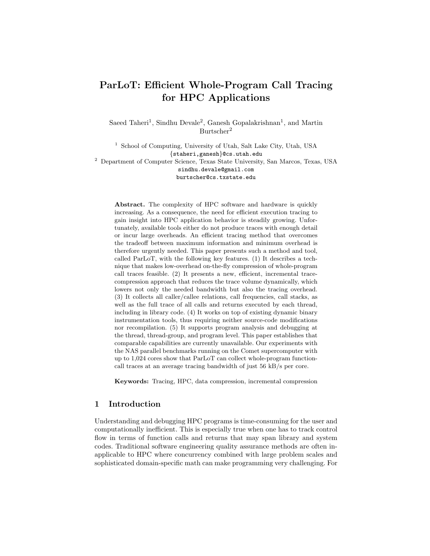# ParLoT: Efficient Whole-Program Call Tracing for HPC Applications

Saeed Taheri<sup>1</sup>, Sindhu Devale<sup>2</sup>, Ganesh Gopalakrishnan<sup>1</sup>, and Martin  $\ensuremath{{\text{Burtscher}}}\xspace^2$ 

<sup>1</sup> School of Computing, University of Utah, Salt Lake City, Utah, USA {staheri,ganesh}@cs.utah.edu <sup>2</sup> Department of Computer Science, Texas State University, San Marcos, Texas, USA sindhu.devale@gmail.com burtscher@cs.txstate.edu

Abstract. The complexity of HPC software and hardware is quickly increasing. As a consequence, the need for efficient execution tracing to gain insight into HPC application behavior is steadily growing. Unfortunately, available tools either do not produce traces with enough detail or incur large overheads. An efficient tracing method that overcomes the tradeoff between maximum information and minimum overhead is therefore urgently needed. This paper presents such a method and tool, called ParLoT, with the following key features. (1) It describes a technique that makes low-overhead on-the-fly compression of whole-program call traces feasible. (2) It presents a new, efficient, incremental tracecompression approach that reduces the trace volume dynamically, which lowers not only the needed bandwidth but also the tracing overhead. (3) It collects all caller/callee relations, call frequencies, call stacks, as well as the full trace of all calls and returns executed by each thread, including in library code. (4) It works on top of existing dynamic binary instrumentation tools, thus requiring neither source-code modifications nor recompilation. (5) It supports program analysis and debugging at the thread, thread-group, and program level. This paper establishes that comparable capabilities are currently unavailable. Our experiments with the NAS parallel benchmarks running on the Comet supercomputer with up to 1,024 cores show that ParLoT can collect whole-program functioncall traces at an average tracing bandwidth of just 56 kB/s per core.

Keywords: Tracing, HPC, data compression, incremental compression

# 1 Introduction

Understanding and debugging HPC programs is time-consuming for the user and computationally inefficient. This is especially true when one has to track control flow in terms of function calls and returns that may span library and system codes. Traditional software engineering quality assurance methods are often inapplicable to HPC where concurrency combined with large problem scales and sophisticated domain-specific math can make programming very challenging. For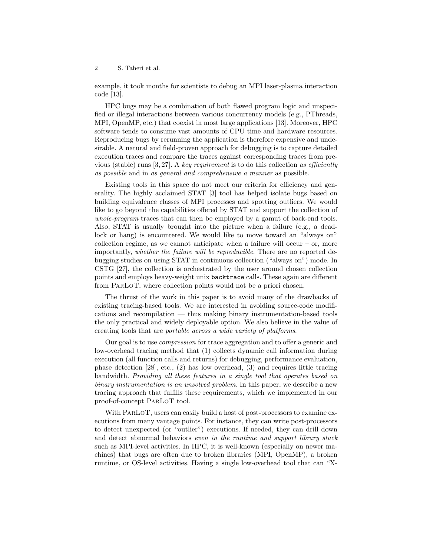example, it took months for scientists to debug an MPI laser-plasma interaction code [13].

HPC bugs may be a combination of both flawed program logic and unspecified or illegal interactions between various concurrency models (e.g., PThreads, MPI, OpenMP, etc.) that coexist in most large applications [13]. Moreover, HPC software tends to consume vast amounts of CPU time and hardware resources. Reproducing bugs by rerunning the application is therefore expensive and undesirable. A natural and field-proven approach for debugging is to capture detailed execution traces and compare the traces against corresponding traces from previous (stable) runs  $[3, 27]$ . A key requirement is to do this collection as efficiently as possible and in as general and comprehensive a manner as possible.

Existing tools in this space do not meet our criteria for efficiency and generality. The highly acclaimed STAT [3] tool has helped isolate bugs based on building equivalence classes of MPI processes and spotting outliers. We would like to go beyond the capabilities offered by STAT and support the collection of whole-program traces that can then be employed by a gamut of back-end tools. Also, STAT is usually brought into the picture when a failure (e.g., a deadlock or hang) is encountered. We would like to move toward an "always on" collection regime, as we cannot anticipate when a failure will occur – or, more importantly, whether the failure will be reproducible. There are no reported debugging studies on using STAT in continuous collection ("always on") mode. In CSTG [27], the collection is orchestrated by the user around chosen collection points and employs heavy-weight unix backtrace calls. These again are different from ParLoT, where collection points would not be a priori chosen.

The thrust of the work in this paper is to avoid many of the drawbacks of existing tracing-based tools. We are interested in avoiding source-code modifications and recompilation — thus making binary instrumentation-based tools the only practical and widely deployable option. We also believe in the value of creating tools that are portable across a wide variety of platforms.

Our goal is to use compression for trace aggregation and to offer a generic and low-overhead tracing method that (1) collects dynamic call information during execution (all function calls and returns) for debugging, performance evaluation, phase detection [28], etc., (2) has low overhead, (3) and requires little tracing bandwidth. Providing all these features in a single tool that operates based on binary instrumentation is an unsolved problem. In this paper, we describe a new tracing approach that fulfills these requirements, which we implemented in our proof-of-concept ParLoT tool.

With PARLOT, users can easily build a host of post-processors to examine executions from many vantage points. For instance, they can write post-processors to detect unexpected (or "outlier") executions. If needed, they can drill down and detect abnormal behaviors even in the runtime and support library stack such as MPI-level activities. In HPC, it is well-known (especially on newer machines) that bugs are often due to broken libraries (MPI, OpenMP), a broken runtime, or OS-level activities. Having a single low-overhead tool that can "X-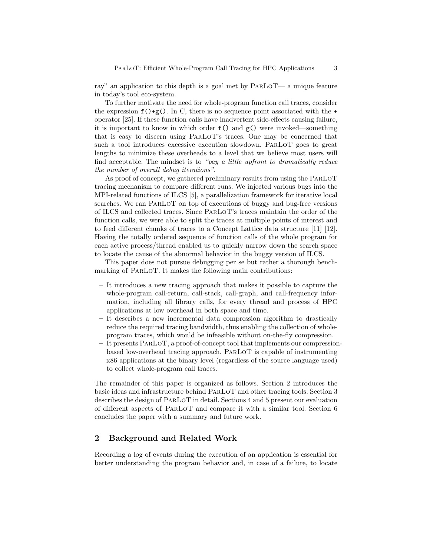ray" an application to this depth is a goal met by ParLoT— a unique feature in today's tool eco-system.

To further motivate the need for whole-program function call traces, consider the expression  $f(\cdot) + g(\cdot)$ . In C, there is no sequence point associated with the + operator [25]. If these function calls have inadvertent side-effects causing failure, it is important to know in which order  $f()$  and  $g()$  were invoked—something that is easy to discern using ParLoT's traces. One may be concerned that such a tool introduces excessive execution slowdown. ParLoT goes to great lengths to minimize these overheads to a level that we believe most users will find acceptable. The mindset is to "pay a little upfront to dramatically reduce the number of overall debug iterations".

As proof of concept, we gathered preliminary results from using the ParLoT tracing mechanism to compare different runs. We injected various bugs into the MPI-related functions of ILCS [5], a parallelization framework for iterative local searches. We ran ParLoT on top of executions of buggy and bug-free versions of ILCS and collected traces. Since ParLoT's traces maintain the order of the function calls, we were able to split the traces at multiple points of interest and to feed different chunks of traces to a Concept Lattice data structure [11] [12]. Having the totally ordered sequence of function calls of the whole program for each active process/thread enabled us to quickly narrow down the search space to locate the cause of the abnormal behavior in the buggy version of ILCS.

This paper does not pursue debugging per se but rather a thorough benchmarking of ParLoT. It makes the following main contributions:

- It introduces a new tracing approach that makes it possible to capture the whole-program call-return, call-stack, call-graph, and call-frequency information, including all library calls, for every thread and process of HPC applications at low overhead in both space and time.
- It describes a new incremental data compression algorithm to drastically reduce the required tracing bandwidth, thus enabling the collection of wholeprogram traces, which would be infeasible without on-the-fly compression.
- It presents ParLoT, a proof-of-concept tool that implements our compressionbased low-overhead tracing approach. ParLoT is capable of instrumenting x86 applications at the binary level (regardless of the source language used) to collect whole-program call traces.

The remainder of this paper is organized as follows. Section 2 introduces the basic ideas and infrastructure behind ParLoT and other tracing tools. Section 3 describes the design of ParLoT in detail. Sections 4 and 5 present our evaluation of different aspects of ParLoT and compare it with a similar tool. Section 6 concludes the paper with a summary and future work.

# 2 Background and Related Work

Recording a log of events during the execution of an application is essential for better understanding the program behavior and, in case of a failure, to locate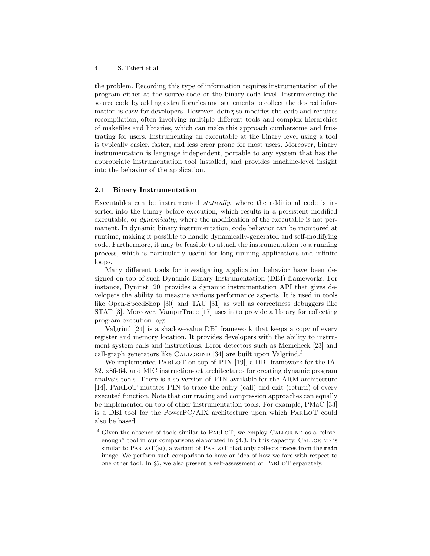the problem. Recording this type of information requires instrumentation of the program either at the source-code or the binary-code level. Instrumenting the source code by adding extra libraries and statements to collect the desired information is easy for developers. However, doing so modifies the code and requires recompilation, often involving multiple different tools and complex hierarchies of makefiles and libraries, which can make this approach cumbersome and frustrating for users. Instrumenting an executable at the binary level using a tool is typically easier, faster, and less error prone for most users. Moreover, binary instrumentation is language independent, portable to any system that has the appropriate instrumentation tool installed, and provides machine-level insight into the behavior of the application.

### 2.1 Binary Instrumentation

Executables can be instrumented statically, where the additional code is inserted into the binary before execution, which results in a persistent modified executable, or dynamically, where the modification of the executable is not permanent. In dynamic binary instrumentation, code behavior can be monitored at runtime, making it possible to handle dynamically-generated and self-modifying code. Furthermore, it may be feasible to attach the instrumentation to a running process, which is particularly useful for long-running applications and infinite loops.

Many different tools for investigating application behavior have been designed on top of such Dynamic Binary Instrumentation (DBI) frameworks. For instance, Dyninst [20] provides a dynamic instrumentation API that gives developers the ability to measure various performance aspects. It is used in tools like Open-SpeedShop [30] and TAU [31] as well as correctness debuggers like STAT [3]. Moreover, VampirTrace [17] uses it to provide a library for collecting program execution logs.

Valgrind [24] is a shadow-value DBI framework that keeps a copy of every register and memory location. It provides developers with the ability to instrument system calls and instructions. Error detectors such as Memcheck [23] and call-graph generators like CALLGRIND  $[34]$  are built upon Valgrind.<sup>3</sup>

We implemented ParLoT on top of PIN [19], a DBI framework for the IA-32, x86-64, and MIC instruction-set architectures for creating dynamic program analysis tools. There is also version of PIN available for the ARM architecture [14]. ParLoT mutates PIN to trace the entry (call) and exit (return) of every executed function. Note that our tracing and compression approaches can equally be implemented on top of other instrumentation tools. For example, PMaC [33] is a DBI tool for the PowerPC/AIX architecture upon which ParLoT could also be based.

<sup>&</sup>lt;sup>3</sup> Given the absence of tools similar to PARLOT, we employ CALLGRIND as a "closeenough" tool in our comparisons elaborated in §4.3. In this capacity, CALLGRIND is similar to  $PARLOT(M)$ , a variant of  $PARLOT$  that only collects traces from the main image. We perform such comparison to have an idea of how we fare with respect to one other tool. In §5, we also present a self-assessment of ParLoT separately.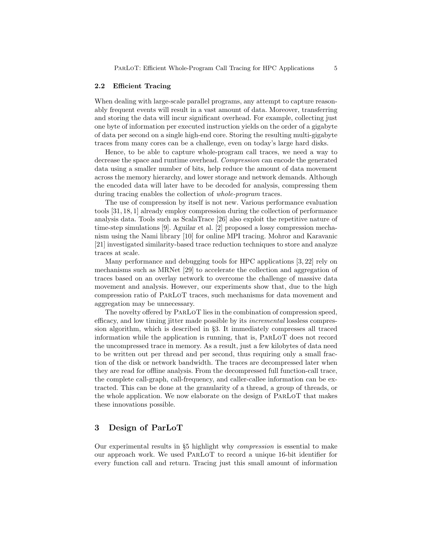### 2.2 Efficient Tracing

When dealing with large-scale parallel programs, any attempt to capture reasonably frequent events will result in a vast amount of data. Moreover, transferring and storing the data will incur significant overhead. For example, collecting just one byte of information per executed instruction yields on the order of a gigabyte of data per second on a single high-end core. Storing the resulting multi-gigabyte traces from many cores can be a challenge, even on today's large hard disks.

Hence, to be able to capture whole-program call traces, we need a way to decrease the space and runtime overhead. Compression can encode the generated data using a smaller number of bits, help reduce the amount of data movement across the memory hierarchy, and lower storage and network demands. Although the encoded data will later have to be decoded for analysis, compressing them during tracing enables the collection of *whole-program* traces.

The use of compression by itself is not new. Various performance evaluation tools [31, 18, 1] already employ compression during the collection of performance analysis data. Tools such as ScalaTrace [26] also exploit the repetitive nature of time-step simulations [9]. Aguilar et al. [2] proposed a lossy compression mechanism using the Nami library [10] for online MPI tracing. Mohror and Karavanic [21] investigated similarity-based trace reduction techniques to store and analyze traces at scale.

Many performance and debugging tools for HPC applications [3, 22] rely on mechanisms such as MRNet [29] to accelerate the collection and aggregation of traces based on an overlay network to overcome the challenge of massive data movement and analysis. However, our experiments show that, due to the high compression ratio of ParLoT traces, such mechanisms for data movement and aggregation may be unnecessary.

The novelty offered by ParLoT lies in the combination of compression speed, efficacy, and low timing jitter made possible by its incremental lossless compression algorithm, which is described in §3. It immediately compresses all traced information while the application is running, that is, ParLoT does not record the uncompressed trace in memory. As a result, just a few kilobytes of data need to be written out per thread and per second, thus requiring only a small fraction of the disk or network bandwidth. The traces are decompressed later when they are read for offline analysis. From the decompressed full function-call trace, the complete call-graph, call-frequency, and caller-callee information can be extracted. This can be done at the granularity of a thread, a group of threads, or the whole application. We now elaborate on the design of ParLoT that makes these innovations possible.

# 3 Design of ParLoT

Our experimental results in §5 highlight why compression is essential to make our approach work. We used ParLoT to record a unique 16-bit identifier for every function call and return. Tracing just this small amount of information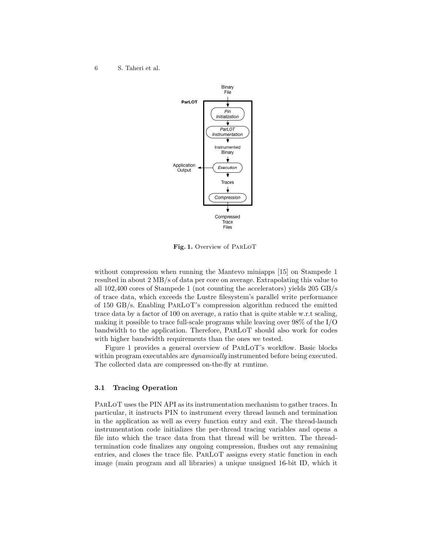

Fig. 1. Overview of ParLoT

without compression when running the Mantevo miniapps [15] on Stampede 1 resulted in about 2 MB/s of data per core on average. Extrapolating this value to all 102,400 cores of Stampede 1 (not counting the accelerators) yields 205 GB/s of trace data, which exceeds the Lustre filesystem's parallel write performance of 150 GB/s. Enabling ParLoT's compression algorithm reduced the emitted trace data by a factor of 100 on average, a ratio that is quite stable w.r.t scaling, making it possible to trace full-scale programs while leaving over 98% of the I/O bandwidth to the application. Therefore, ParLoT should also work for codes with higher bandwidth requirements than the ones we tested.

Figure 1 provides a general overview of ParLoT's workflow. Basic blocks within program executables are *dynamically* instrumented before being executed. The collected data are compressed on-the-fly at runtime.

### 3.1 Tracing Operation

ParLoT uses the PIN API as its instrumentation mechanism to gather traces. In particular, it instructs PIN to instrument every thread launch and termination in the application as well as every function entry and exit. The thread-launch instrumentation code initializes the per-thread tracing variables and opens a file into which the trace data from that thread will be written. The threadtermination code finalizes any ongoing compression, flushes out any remaining entries, and closes the trace file. ParLoT assigns every static function in each image (main program and all libraries) a unique unsigned 16-bit ID, which it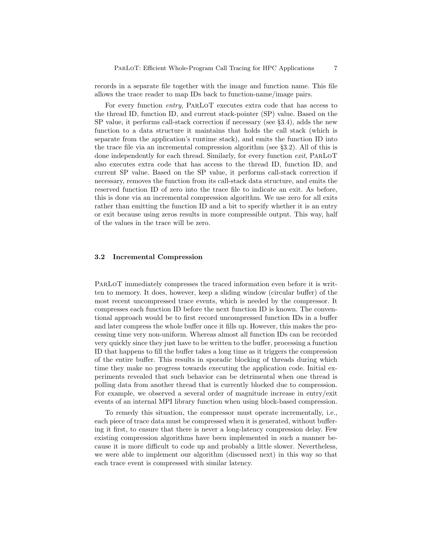records in a separate file together with the image and function name. This file allows the trace reader to map IDs back to function-name/image pairs.

For every function entry, ParLoT executes extra code that has access to the thread ID, function ID, and current stack-pointer (SP) value. Based on the SP value, it performs call-stack correction if necessary (see §3.4), adds the new function to a data structure it maintains that holds the call stack (which is separate from the application's runtime stack), and emits the function ID into the trace file via an incremental compression algorithm (see §3.2). All of this is done independently for each thread. Similarly, for every function exit, ParLoT also executes extra code that has access to the thread ID, function ID, and current SP value. Based on the SP value, it performs call-stack correction if necessary, removes the function from its call-stack data structure, and emits the reserved function ID of zero into the trace file to indicate an exit. As before, this is done via an incremental compression algorithm. We use zero for all exits rather than emitting the function ID and a bit to specify whether it is an entry or exit because using zeros results in more compressible output. This way, half of the values in the trace will be zero.

#### 3.2 Incremental Compression

PARLOT immediately compresses the traced information even before it is written to memory. It does, however, keep a sliding window (circular buffer) of the most recent uncompressed trace events, which is needed by the compressor. It compresses each function ID before the next function ID is known. The conventional approach would be to first record uncompressed function IDs in a buffer and later compress the whole buffer once it fills up. However, this makes the processing time very non-uniform. Whereas almost all function IDs can be recorded very quickly since they just have to be written to the buffer, processing a function ID that happens to fill the buffer takes a long time as it triggers the compression of the entire buffer. This results in sporadic blocking of threads during which time they make no progress towards executing the application code. Initial experiments revealed that such behavior can be detrimental when one thread is polling data from another thread that is currently blocked due to compression. For example, we observed a several order of magnitude increase in entry/exit events of an internal MPI library function when using block-based compression.

To remedy this situation, the compressor must operate incrementally, i.e., each piece of trace data must be compressed when it is generated, without buffering it first, to ensure that there is never a long-latency compression delay. Few existing compression algorithms have been implemented in such a manner because it is more difficult to code up and probably a little slower. Nevertheless, we were able to implement our algorithm (discussed next) in this way so that each trace event is compressed with similar latency.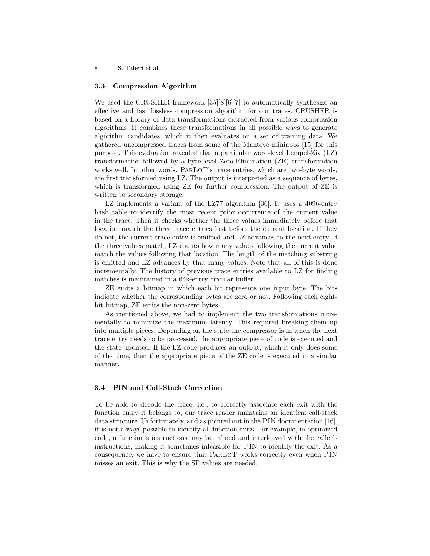#### 3.3 Compression Algorithm

We used the CRUSHER framework [35][8][6][7] to automatically synthesize an effective and fast lossless compression algorithm for our traces. CRUSHER is based on a library of data transformations extracted from various compression algorithms. It combines these transformations in all possible ways to generate algorithm candidates, which it then evaluates on a set of training data. We gathered uncompressed traces from some of the Mantevo miniapps [15] for this purpose. This evaluation revealed that a particular word-level Lempel-Ziv (LZ) transformation followed by a byte-level Zero-Elimination (ZE) transformation works well. In other words, ParLoT's trace entries, which are two-byte words, are first transformed using LZ. The output is interpreted as a sequence of bytes, which is transformed using ZE for further compression. The output of ZE is written to secondary storage.

LZ implements a variant of the LZ77 algorithm [36]. It uses a 4096-entry hash table to identify the most recent prior occurrence of the current value in the trace. Then it checks whether the three values immediately before that location match the three trace entries just before the current location. If they do not, the current trace entry is emitted and LZ advances to the next entry. If the three values match, LZ counts how many values following the current value match the values following that location. The length of the matching substring is emitted and LZ advances by that many values. Note that all of this is done incrementally. The history of previous trace entries available to LZ for finding matches is maintained in a 64k-entry circular buffer.

ZE emits a bitmap in which each bit represents one input byte. The bits indicate whether the corresponding bytes are zero or not. Following each eightbit bitmap, ZE emits the non-zero bytes.

As mentioned above, we had to implement the two transformations incrementally to minimize the maximum latency. This required breaking them up into multiple pieces. Depending on the state the compressor is in when the next trace entry needs to be processed, the appropriate piece of code is executed and the state updated. If the LZ code produces an output, which it only does some of the time, then the appropriate piece of the ZE code is executed in a similar manner.

### 3.4 PIN and Call-Stack Correction

To be able to decode the trace, i.e., to correctly associate each exit with the function entry it belongs to, our trace reader maintains an identical call-stack data structure. Unfortunately, and as pointed out in the PIN documentation [16], it is not always possible to identify all function exits. For example, in optimized code, a function's instructions may be inlined and interleaved with the caller's instructions, making it sometimes infeasible for PIN to identify the exit. As a consequence, we have to ensure that ParLoT works correctly even when PIN misses an exit. This is why the SP values are needed.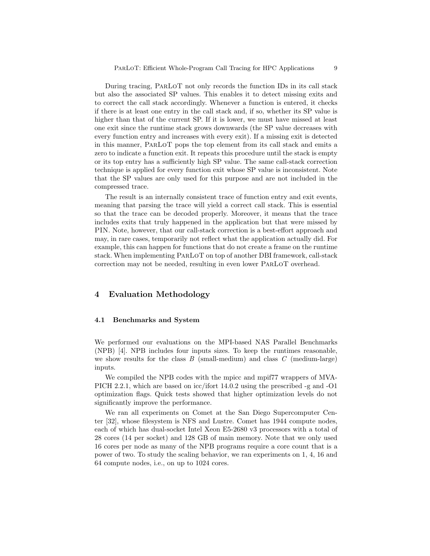During tracing, ParLoT not only records the function IDs in its call stack but also the associated SP values. This enables it to detect missing exits and to correct the call stack accordingly. Whenever a function is entered, it checks if there is at least one entry in the call stack and, if so, whether its SP value is higher than that of the current SP. If it is lower, we must have missed at least one exit since the runtime stack grows downwards (the SP value decreases with every function entry and increases with every exit). If a missing exit is detected in this manner, ParLoT pops the top element from its call stack and emits a zero to indicate a function exit. It repeats this procedure until the stack is empty or its top entry has a sufficiently high SP value. The same call-stack correction technique is applied for every function exit whose SP value is inconsistent. Note that the SP values are only used for this purpose and are not included in the compressed trace.

The result is an internally consistent trace of function entry and exit events, meaning that parsing the trace will yield a correct call stack. This is essential so that the trace can be decoded properly. Moreover, it means that the trace includes exits that truly happened in the application but that were missed by PIN. Note, however, that our call-stack correction is a best-effort approach and may, in rare cases, temporarily not reflect what the application actually did. For example, this can happen for functions that do not create a frame on the runtime stack. When implementing ParLoT on top of another DBI framework, call-stack correction may not be needed, resulting in even lower ParLoT overhead.

# 4 Evaluation Methodology

## 4.1 Benchmarks and System

We performed our evaluations on the MPI-based NAS Parallel Benchmarks (NPB) [4]. NPB includes four inputs sizes. To keep the runtimes reasonable, we show results for the class  $B$  (small-medium) and class  $C$  (medium-large) inputs.

We compiled the NPB codes with the mpicc and mpif77 wrappers of MVA-PICH 2.2.1, which are based on icc/ifort 14.0.2 using the prescribed -g and -O1 optimization flags. Quick tests showed that higher optimization levels do not significantly improve the performance.

We ran all experiments on Comet at the San Diego Supercomputer Center [32], whose filesystem is NFS and Lustre. Comet has 1944 compute nodes, each of which has dual-socket Intel Xeon E5-2680 v3 processors with a total of 28 cores (14 per socket) and 128 GB of main memory. Note that we only used 16 cores per node as many of the NPB programs require a core count that is a power of two. To study the scaling behavior, we ran experiments on 1, 4, 16 and 64 compute nodes, i.e., on up to 1024 cores.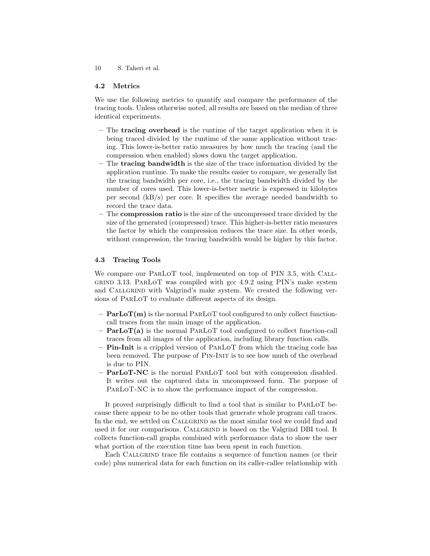### 4.2 Metrics

We use the following metrics to quantify and compare the performance of the tracing tools. Unless otherwise noted, all results are based on the median of three identical experiments.

- The tracing overhead is the runtime of the target application when it is being traced divided by the runtime of the same application without tracing. This lower-is-better ratio measures by how much the tracing (and the compression when enabled) slows down the target application.
- The **tracing bandwidth** is the size of the trace information divided by the application runtime. To make the results easier to compare, we generally list the tracing bandwidth per core, i.e., the tracing bandwidth divided by the number of cores used. This lower-is-better metric is expressed in kilobytes per second (kB/s) per core. It specifies the average needed bandwidth to record the trace data.
- $-$  The **compression ratio** is the size of the uncompressed trace divided by the size of the generated (compressed) trace. This higher-is-better ratio measures the factor by which the compression reduces the trace size. In other words, without compression, the tracing bandwidth would be higher by this factor.

### 4.3 Tracing Tools

We compare our PARLOT tool, implemented on top of PIN 3.5, with CALLgrind 3.13. ParLoT was compiled with gcc 4.9.2 using PIN's make system and CALLGRIND with Valgrind's make system. We created the following versions of ParLoT to evaluate different aspects of its design.

- $-$  **ParLoT(m)** is the normal PARLOT tool configured to only collect functioncall traces from the main image of the application.
- $-$  ParLoT(a) is the normal PARLOT tool configured to collect function-call traces from all images of the application, including library function calls.
- Pin-Init is a crippled version of PARLOT from which the tracing code has been removed. The purpose of Pin-Init is to see how much of the overhead is due to PIN.
- ParLoT-NC is the normal ParLoT tool but with compression disabled. It writes out the captured data in uncompressed form. The purpose of ParLoT-NC is to show the performance impact of the compression.

It proved surprisingly difficult to find a tool that is similar to ParLoT because there appear to be no other tools that generate whole program call traces. In the end, we settled on CALLGRIND as the most similar tool we could find and used it for our comparisons. CALLGRIND is based on the Valgrind DBI tool. It collects function-call graphs combined with performance data to show the user what portion of the execution time has been spent in each function.

Each Callgrind trace file contains a sequence of function names (or their code) plus numerical data for each function on its caller-callee relationship with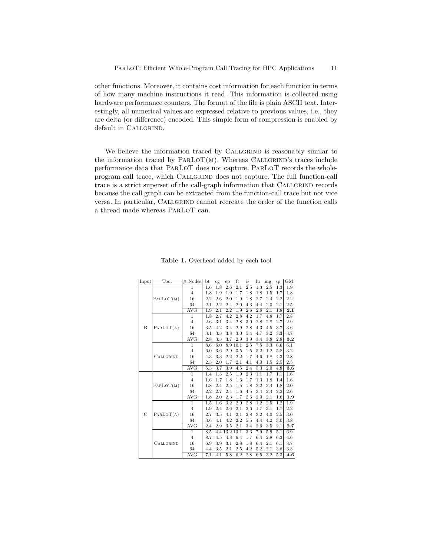other functions. Moreover, it contains cost information for each function in terms of how many machine instructions it read. This information is collected using hardware performance counters. The format of the file is plain ASCII text. Interestingly, all numerical values are expressed relative to previous values, i.e., they are delta (or difference) encoded. This simple form of compression is enabled by default in CALLGRIND.

We believe the information traced by CALLGRIND is reasonably similar to the information traced by  $\text{PARLOT}(M)$ . Whereas CALLGRIND's traces include performance data that ParLoT does not capture, ParLoT records the wholeprogram call trace, which CALLGRIND does not capture. The full function-call trace is a strict superset of the call-graph information that CALLGRIND records because the call graph can be extracted from the function-call trace but not vice versa. In particular, Callgrind cannot recreate the order of the function calls a thread made whereas ParLoT can.

| Input         | Tool      | Nodes<br>#     | bt               | cg               | ep               | ft               | is               | lu  | mg               | sp  | GM      |
|---------------|-----------|----------------|------------------|------------------|------------------|------------------|------------------|-----|------------------|-----|---------|
|               |           | 1              | 1.6              | 1.8              | 2.6              | 2.1              | 2.5              | 1.3 | 2.5              | 1.3 | 1.9     |
|               |           | $\overline{4}$ | 1.8              | 1.9              | 1.9              | 1.7              | 1.8              | 1.8 | 1.5              | 1.7 | 1.8     |
|               | PARLOT(M) | 16             | 2.2              | 2.6              | 2.0              | 1.9              | 1.8              | 2.7 | 2.4              | 2.2 | 2.2     |
|               |           | 64             | 2.1              | 2.2              | 2.4              | 2.0              | 4.3              | 4.4 | 2.0              | 2.1 | 2.5     |
|               |           | AVG            | $1.\overline{9}$ | 2.1              | $\overline{2.2}$ | 1.9              | 2.6              | 2.6 | $\overline{2.1}$ | 1.8 | 2.1     |
|               |           | 1              | 1.8              | 2.7              | 4.2              | 2.8              | 4.2              | 1.7 | 4.8              | 1.7 | 2.8     |
|               |           | $\overline{4}$ | 2.6              | 3.1              | 3.4              | 2.8              | 3.0              | 2.8 | 2.8              | 2.7 | 2.9     |
| B             | PARLOT(A) | 16             | 3.5              | 4.2              | 3.4              | 2.9              | 2.8              | 4.3 | 4.5              | 3.7 | 3.6     |
|               |           | 64             | 3.1              | 3.3              | 3.8              | 3.0              | 5.4              | 4.7 | 3.2              | 3.3 | 3.7     |
|               |           | AVG            | 2.8              | 3.3              | 3.7              | 2.9              | 3.9              | 3.4 | 3.8              | 2.8 | 3.2     |
|               |           | 1              | 8.6              | 6.0              | 8.9              | 10.1             | 2.5              | 7.5 | 3.3              | 6.6 | 6.1     |
|               |           | $\overline{4}$ | 6.0              | 3.6              | 2.9              | 3.5              | 1.5              | 5.2 | 1.2              | 5.8 | 3.2     |
|               | CALLGRIND | 16             | 4.3              | 3.3              | 2.2              | 2.2              | 1.7              | 4.6 | 1.8              | 4.3 | 2.8     |
|               |           | 64             | 2.3              | 2.0              | 1.7              | 2.1              | 4.1              | 4.0 | 1.5              | 2.5 | $2.3\,$ |
|               |           | AVG            | 5.3              | $\overline{3.7}$ | 3.9              | 4.5              | 2.4              | 5.3 | 2.0              | 4.8 | 3.6     |
|               |           | $\overline{1}$ | 1.4              | 1.3              | 2.5              | 1.9              | 2.3              | 1.1 | 1.7              | 1.1 | 1.6     |
|               |           | $\overline{4}$ | 1.6              | 1.7              | 1.8              | 1.6              | 1.7              | 1.3 | 1.8              | 1.4 | 1.6     |
|               | PARLOT(M) | 16             | 1.8              | 2.4              | 2.5              | 1.5              | 1.8              | 2.2 | 2.4              | 1.8 | 2.0     |
|               |           | 64             | 2.2              | 2.7              | 2.4              | 1.6              | 4.5              | 3.4 | 2.4              | 2.2 | 2.6     |
|               |           | AVG            | 1.8              | 2.0              | 2.3              | 1.7              | 2.6              | 2.0 | 2.1              | 1.6 | 1.9     |
|               |           | 1              | 1.5              | 1.6              | 3.2              | 2.0              | 2.8              | 1.2 | 2.5              | 1.2 | 1.9     |
|               |           | $\overline{4}$ | 1.9              | 2.4              | 2.6              | 2.1              | 2.6              | 1.7 | 3.1              | 1.7 | 2.2     |
| $\mathcal{C}$ | PARLOT(A) | 16             | 2.7              | 3.5              | 4.1              | 2.1              | 2.8              | 3.2 | 4.0              | 2.5 | 3.0     |
|               |           | 64             | 3.6              | 4.1              | 4.2              | 2.2              | 5.5              | 4.4 | 4.2              | 3.0 | 3.8     |
|               |           | AVG            | 2.4              | 2.9              | 3.5              | $\overline{2}.1$ | 3.4              | 2.6 | 3.5              | 2.1 | 2.7     |
|               |           | $\overline{1}$ | 8.5              | 4.4              | 13.2 13.1        |                  | $\overline{3.3}$ | 7.9 | 5.9              | 5.1 | 6.9     |
|               |           | $\overline{4}$ | 8.7              | 4.5              | 4.8              | 6.4              | 1.7              | 6.4 | 2.8              | 6.3 | 4.6     |
|               | CALLGRIND | 16             | 6.9              | 3.9              | 3.1              | 2.8              | 1.8              | 6.4 | 2.1              | 6.1 | 3.7     |
|               |           | 64             | 4.4              | 3.5              | 2.1              | 2.5              | 4.2              | 5.2 | 2.1              | 3.8 | 3.3     |
|               |           | AVG            | 7.1              | 4.1              | 5.8              | 6.2              | 2.8              | 6.5 | $\overline{3.2}$ | 5.3 | 4.6     |

Table 1. Overhead added by each tool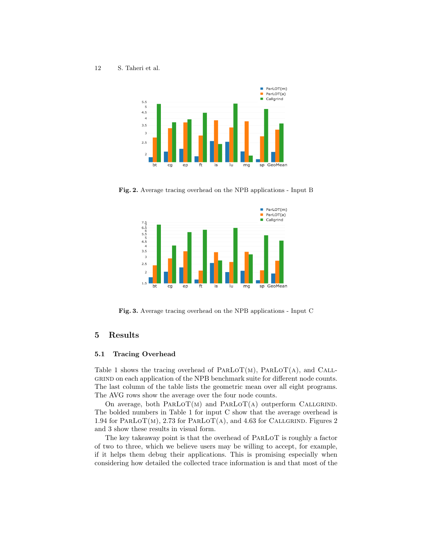

Fig. 2. Average tracing overhead on the NPB applications - Input B



Fig. 3. Average tracing overhead on the NPB applications - Input C

# 5 Results

#### 5.1 Tracing Overhead

Table 1 shows the tracing overhead of  $\text{PARLOT}(M)$ ,  $\text{PARLOT}(A)$ , and CALL-GRIND on each application of the NPB benchmark suite for different node counts. The last column of the table lists the geometric mean over all eight programs. The AVG rows show the average over the four node counts.

On average, both  $PARLOT(M)$  and  $PARLOT(A)$  outperform CALLGRIND. The bolded numbers in Table 1 for input C show that the average overhead is 1.94 for  $\text{PARLOT}(M)$ , 2.73 for  $\text{PARLOT}(A)$ , and 4.63 for CALLGRIND. Figures 2 and 3 show these results in visual form.

The key takeaway point is that the overhead of ParLoT is roughly a factor of two to three, which we believe users may be willing to accept, for example, if it helps them debug their applications. This is promising especially when considering how detailed the collected trace information is and that most of the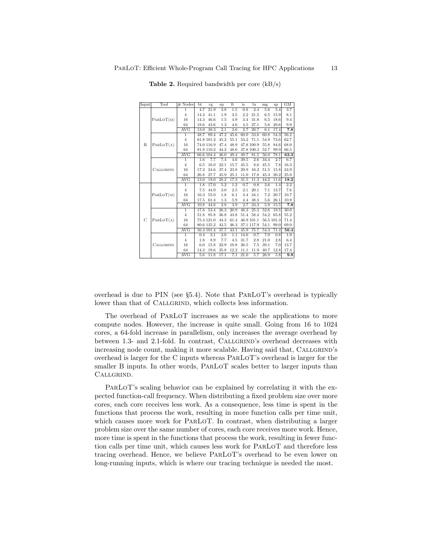| Input         | Tool      | <b>Nodes</b><br># | bt   | cg         | ep                | ft   | is   | lu         | mg   | $_{\rm sp}$ | GM   |
|---------------|-----------|-------------------|------|------------|-------------------|------|------|------------|------|-------------|------|
|               |           | 1                 | 4.7  | 21.9       | 3.8               | 1.5  | 0.8  | 2.4        | 5.6  | 5.4         | 3.7  |
|               |           | $\overline{4}$    | 14.3 | 41.1       | 1.9               | 3.5  | 2.2  | 21.5       | 6.5  | 15.9        | 8.1  |
|               | PARLOT(M) | 16                | 14.3 | 46.6       | 1.5               | 4.9  | 3.4  | 31.8       | 6.5  | 18.6        | 9.4  |
|               |           | 64                | 18.6 | 43.6       | 1.3               | 4.6  | 4.5  | 27.1       | 5.6  | 29.6        | 9.9  |
|               |           | <b>AVG</b>        | 13.0 | 38.3       | 2.1               | 3.6  | 2.7  | 20.7       | 6.1  | 17.4        | 7.8  |
|               |           | 1                 | 48.7 | 89.4       | 47.2              | 45.6 | 60.0 | 53.6       | 60.8 | 54.3        | 56.2 |
|               |           | $\overline{4}$    |      | 61.8 101.2 | 45.2              | 55.1 | 53.2 | 71.1       | 54.9 | 73.6        | 62.7 |
| B             | PARLOT(A) | 16                |      | 74.0 116.9 | 47.4              | 48.9 |      | 47.8 100.9 | 55.8 | 84.6        | 68.0 |
|               |           | 64                |      | 81.8 110.2 | 44.2              | 48.0 |      | 37.8 100.3 | 52.7 | 99.9        | 66.5 |
|               |           | AVG               |      | 66.6 104.4 | 46.0              | 49.4 | 49.7 | 81.5       | 56.0 | 78.1        | 63.3 |
|               |           | 1                 | 1.6  | 7.7        | 7.4               | 4.6  | 39.5 | 2.6        | 34.4 | 2.7         | 6.7  |
|               |           | $\overline{4}$    | 6.5  | 16.0       | 22.1              | 15.7 | 45.5 | 8.6        | 45.5 | 7.8         | 16.3 |
|               | CALLGRIND | 16                | 17.2 | 24.6       | 37.4              | 23.8 | 29.9 | 16.2       | 51.5 | 15.8        | 24.9 |
|               |           | 64                | 26.8 | 27.7       | 45.9              | 25.1 | 11.0 | 17.8       | 45.3 | 20.2        | 25.0 |
|               |           | AVG               | 13.0 | 19.0       | 28.2              | 17.3 | 31.5 | 11.3       | 44.2 | 11.6        | 18.2 |
|               |           | $\mathbf{1}$      | 1.8  | 17.0       | 5.2               | 1.2  | 0.7  | 0.8        | 3.6  | 1.4         | 2.2  |
|               |           | $\overline{4}$    | 7.5  | 44.9       | 3.0               | 2.5  | 2.1  | 20.1       | 7.1  | 13.7        | 7.6  |
|               | PARLOT(M) | 16                | 16.3 | 55.0       | 1.8               | 6.1  | 3.4  | 34.1       | 7.2  | 20.7        | 10.7 |
|               |           | 64                | 17.5 | 61.4       | 1.3               | 5.9  | 4.4  | 38.3       | 5.6  | 26.1        | 10.9 |
|               |           | <b>AVG</b>        | 10.8 | 44.6       | 2.8               | 3.9  | 2.7  | 23.3       | 5.9  | 15.5        | 7.8  |
|               |           | 1                 | 17.8 | 53.4       | $\overline{26.3}$ | 20.9 | 48.3 | 25.3       | 52.6 | 19.5        | 30.0 |
|               |           | $\overline{4}$    | 51.8 | 95.8       | 36.8              | 43.8 | 51.4 | 58.4       | 54.2 | 65.8        | 55.2 |
| $\mathcal{C}$ | PARLOT(A) | 16                |      | 75.4 121.0 | 44.3              | 61.4 |      | 46.9 101.1 |      | 56.5 101.3  | 71.4 |
|               |           | 64                |      | 80.6 135.2 | 43.5              | 46.3 |      | 37.1 117.9 | 54.1 | 99.0        | 69.0 |
|               |           | AVG               |      | 56.4 101.4 | 37.7              | 43.1 | 45.9 | 75.7       | 54.3 | 71.4        | 56.4 |
|               |           | 1                 | 0.4  | 3.1        | 2.0               | 1.1  | 14.6 | 0.7        | 7.0  | 0.8         | 1.9  |
|               |           | $\overline{4}$    | 1.8  | 8.9        | 7.7               | 4.5  | 31.7 | 2.8        | 21.0 | 2.8         | 6.4  |
|               | CALLGRIND | 16                | 6.0  | 15.8       | 22.9              | 10.8 | 26.5 | 7.5        | 39.1 | 7.0         | 13.7 |
|               |           | 64                | 14.3 | 19.6       | 35.8              | 12.2 | 11.1 | 11.9       | 40.7 | 12.8        | 17.4 |
|               |           | AVG               | 5.6  | 11.8       | 17.1              | 7.1  | 21.0 | 5.7        | 26.9 | 5.8         | 9.8  |

Table 2. Required bandwidth per core (kB/s)

overhead is due to PIN (see §5.4). Note that ParLoT's overhead is typically lower than that of CALLGRIND, which collects less information.

The overhead of ParLoT increases as we scale the applications to more compute nodes. However, the increase is quite small. Going from 16 to 1024 cores, a 64-fold increase in parallelism, only increases the average overhead by between 1.3- and 2.1-fold. In contrast, Callgrind's overhead decreases with increasing node count, making it more scalable. Having said that, CALLGRIND's overhead is larger for the C inputs whereas ParLoT's overhead is larger for the smaller B inputs. In other words, ParLoT scales better to larger inputs than CALLGRIND.

ParLoT's scaling behavior can be explained by correlating it with the expected function-call frequency. When distributing a fixed problem size over more cores, each core receives less work. As a consequence, less time is spent in the functions that process the work, resulting in more function calls per time unit, which causes more work for ParLoT. In contrast, when distributing a larger problem size over the same number of cores, each core receives more work. Hence, more time is spent in the functions that process the work, resulting in fewer function calls per time unit, which causes less work for ParLoT and therefore less tracing overhead. Hence, we believe ParLoT's overhead to be even lower on long-running inputs, which is where our tracing technique is needed the most.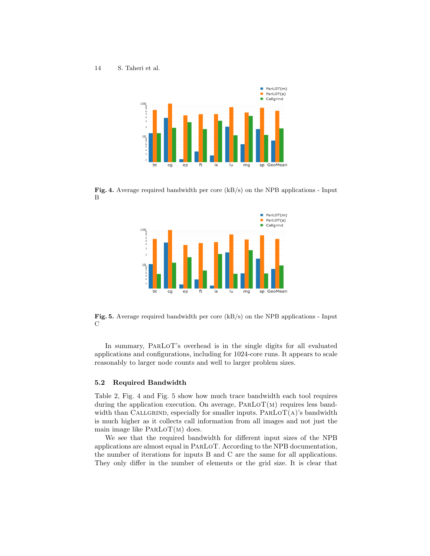

Fig. 4. Average required bandwidth per core (kB/s) on the NPB applications - Input B



Fig. 5. Average required bandwidth per core (kB/s) on the NPB applications - Input C

In summary, ParLoT's overhead is in the single digits for all evaluated applications and configurations, including for 1024-core runs. It appears to scale reasonably to larger node counts and well to larger problem sizes.

## 5.2 Required Bandwidth

Table 2, Fig. 4 and Fig. 5 show how much trace bandwidth each tool requires during the application execution. On average,  $PARLOT(M)$  requires less bandwidth than CALLGRIND, especially for smaller inputs.  $PARLOT(A)$ 's bandwidth is much higher as it collects call information from all images and not just the main image like  $\text{PARLOT(M)}$  does.

We see that the required bandwidth for different input sizes of the NPB applications are almost equal in ParLoT. According to the NPB documentation, the number of iterations for inputs B and C are the same for all applications. They only differ in the number of elements or the grid size. It is clear that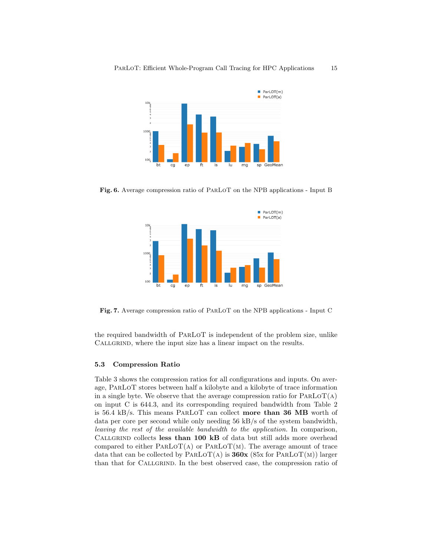

Fig. 6. Average compression ratio of ParLoT on the NPB applications - Input B



Fig. 7. Average compression ratio of ParLoT on the NPB applications - Input C

the required bandwidth of ParLoT is independent of the problem size, unlike CALLGRIND, where the input size has a linear impact on the results.

#### 5.3 Compression Ratio

Table 3 shows the compression ratios for all configurations and inputs. On average, ParLoT stores between half a kilobyte and a kilobyte of trace information in a single byte. We observe that the average compression ratio for  $\text{PARLOT}(A)$ on input C is 644.3, and its corresponding required bandwidth from Table 2 is 56.4 kB/s. This means ParLoT can collect more than 36 MB worth of data per core per second while only needing 56 kB/s of the system bandwidth, leaving the rest of the available bandwidth to the application. In comparison, CALLGRIND collects less than 100 kB of data but still adds more overhead compared to either  $PARLOT(A)$  or  $PARLOT(M)$ . The average amount of trace data that can be collected by  $\text{PARLOT}(A)$  is **360x** (85x for  $\text{PARLOT}(M)$ ) larger than that for CALLGRIND. In the best observed case, the compression ratio of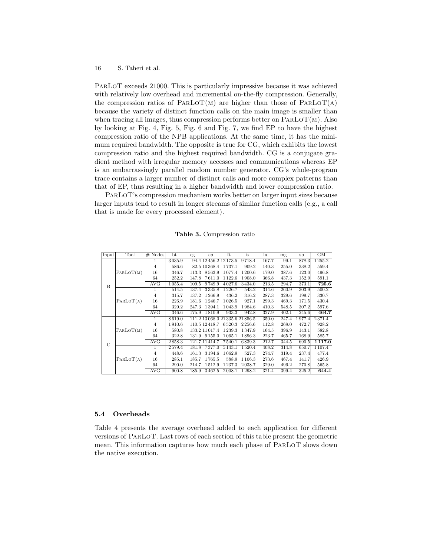ParLoT exceeds 21000. This is particularly impressive because it was achieved with relatively low overhead and incremental on-the-fly compression. Generally, the compression ratios of  $\text{PARLOT}(M)$  are higher than those of  $\text{PARLOT}(A)$ because the variety of distinct function calls on the main image is smaller than when tracing all images, thus compression performs better on  $\text{PARLOT}(M)$ . Also by looking at Fig. 4, Fig. 5, Fig. 6 and Fig. 7, we find EP to have the highest compression ratio of the NPB applications. At the same time, it has the minimum required bandwidth. The opposite is true for CG, which exhibits the lowest compression ratio and the highest required bandwidth. CG is a conjugate gradient method with irregular memory accesses and communications whereas EP is an embarrassingly parallel random number generator. CG's whole-program trace contains a larger number of distinct calls and more complex patterns than that of EP, thus resulting in a higher bandwidth and lower compression ratio.

ParLoT's compression mechanism works better on larger input sizes because larger inputs tend to result in longer streams of similar function calls (e.g., a call that is made for every processed element).

| Table 3. Compression ratio |  |  |  |
|----------------------------|--|--|--|
|----------------------------|--|--|--|

| Input         | Tool      | Nodes<br># | bt     | cg    | ep                               | ft          | is          | lu    | mg    | sp     | GМ          |
|---------------|-----------|------------|--------|-------|----------------------------------|-------------|-------------|-------|-------|--------|-------------|
|               |           | 1          | 3035.9 |       | 94.4 12 456.2 12 173.5           |             | 9718.4      | 167.7 | 99.1  | 878.3  | 1255.2      |
|               |           | 4          | 586.6  |       | 82.5 10 368.4                    | 1737.1      | 909.2       | 140.3 | 255.0 | 338.2  | 559.4       |
|               | PARLOT(M) | 16         | 346.7  | 113.3 | 8563.9                           | 1077.4      | 1 200.6     | 179.0 | 387.6 | 123.0  | 496.8       |
|               |           | 64         | 252.2  | 147.8 | 7611.0                           | 1 1 2 2.6   | 1908.0      | 366.8 | 437.3 | 152.9  | 591.1       |
| B             |           | <b>AVG</b> | 1055.4 | 109.5 | 9749.9                           | 4027.6      | 3434.0      | 213.5 | 294.7 | 373.1  | 725.6       |
|               |           |            | 514.5  | 137.4 | 3335.8                           | 1226.7      | 543.2       | 314.6 | 260.9 | 303.9  | 500.2       |
|               |           | 4          | 315.7  | 137.2 | 1 2 6 6.9                        | 436.2       | 316.2       | 287.3 | 329.6 | 199.7  | 330.7       |
|               | PARLOT(A) | 16         | 226.9  | 181.6 | 1246.7                           | 1026.5      | 927.1       | 299.3 | 469.3 | 171.5  | 430.4       |
|               |           | 64         | 329.2  | 247.3 | 1394.1                           | 1043.9      | 1984.6      | 410.3 | 548.5 | 307.2  | 597.6       |
|               |           | <b>AVG</b> | 346.6  | 175.9 | 1810.9                           | 933.3       | 942.8       | 327.9 | 402.1 | 245.6  | 464.7       |
|               |           | 1          | 8619.0 |       | 111.2 13 068.0 21 335.6 21 856.5 |             |             | 350.0 | 247.4 | 1977.4 | 2371.4      |
|               |           | 4          | 1910.6 |       | 110.5 12 418.7                   | 6520.3      | 2 2 5 6 . 6 | 112.8 | 268.0 | 472.7  | 928.2       |
|               | PARLOT(M) | 16         | 580.8  |       | 133.2 11 017.4                   | 1 2 3 9 . 3 | 1347.9      | 164.5 | 396.9 | 143.1  | 582.8       |
|               |           | 64         | 322.8  | 131.9 | 9 1 5 5 .0                       | 1 0 6 5 . 1 | 1896.3      | 223.7 | 465.7 | 168.9  | 585.7       |
| $\mathcal{C}$ |           | AVG        | 2858.3 |       | 121.7 11 414.7                   | 7540.1      | 6839.3      | 212.7 | 344.5 | 690.5  | 1117.0      |
|               |           | 1          | 2579.4 | 181.8 | 7377.0                           | 5143.1      | 1520.4      | 408.2 | 314.8 | 650.7  | 1 1 0 7 . 4 |
|               |           | 4          | 448.6  | 161.3 | 3194.6                           | 1062.9      | 527.3       | 274.7 | 319.4 | 237.4  | 477.4       |
|               | PARLOT(A) | 16         | 285.1  | 185.7 | 1765.5                           | 588.9       | 1 1 0 6 .3  | 273.6 | 467.4 | 141.7  | 426.9       |
|               |           | 64         | 290.0  | 214.7 | 1512.9                           | 1237.3      | 2038.7      | 329.0 | 496.2 | 270.8  | 565.8       |
|               |           | AVG        | 900.8  | 185.9 | 3462.5                           | 2008.1      | 1298.2      | 321.4 | 399.4 | 325.2  | 644.4       |

#### 5.4 Overheads

Table 4 presents the average overhead added to each application for different versions of ParLoT. Last rows of each section of this table present the geometric mean. This information captures how much each phase of ParLoT slows down the native execution.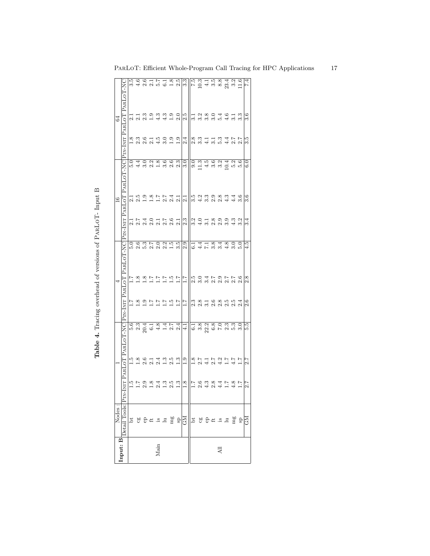| Input: B | Nodes:                                                                                                         |                  |                                                                                                                       |                                                                       |                                        |                             |                  |                                      | $\frac{6}{1}$                          |                                                                                                                                                                                                                                                                                                                                                                                      |                                          | 64                                        |                  |
|----------|----------------------------------------------------------------------------------------------------------------|------------------|-----------------------------------------------------------------------------------------------------------------------|-----------------------------------------------------------------------|----------------------------------------|-----------------------------|------------------|--------------------------------------|----------------------------------------|--------------------------------------------------------------------------------------------------------------------------------------------------------------------------------------------------------------------------------------------------------------------------------------------------------------------------------------------------------------------------------------|------------------------------------------|-------------------------------------------|------------------|
|          |                                                                                                                |                  | oetail Tools: Pin-Init Parlot Parlot-NC Pin-Init Parlot Parlot-NC Pin-Init Parlot Parlot-NC Pin-Init Parlot Parlot-NC |                                                                       |                                        |                             |                  |                                      |                                        |                                                                                                                                                                                                                                                                                                                                                                                      |                                          |                                           |                  |
|          | bt                                                                                                             |                  |                                                                                                                       |                                                                       | $\frac{1}{1}$                          | $\frac{1}{1}$               | 5.0              |                                      |                                        |                                                                                                                                                                                                                                                                                                                                                                                      |                                          |                                           | 3.5              |
|          |                                                                                                                | $\frac{1}{1}$ .7 | $1.8601$<br>$1.801$                                                                                                   | $\frac{6}{5}$ $\frac{1}{2}$ $\frac{3}{2}$ $\frac{4}{5}$ $\frac{1}{2}$ | $\frac{8}{1}$ . 9                      | $\frac{8}{1}$ $\frac{8}{8}$ |                  | $2.740$<br>$2.40$                    | $2.1098$<br>$2.1098$                   | 0 4 0 2<br>5 4 3 2                                                                                                                                                                                                                                                                                                                                                                   | 8. 3. 9. 9. 9.<br>1. 9. 9. 9. 9.         | $\frac{1}{2}$ $\frac{1}{2}$ $\frac{3}{2}$ | 4.6              |
|          |                                                                                                                | 2.9              |                                                                                                                       |                                                                       |                                        |                             | 2.3              |                                      |                                        |                                                                                                                                                                                                                                                                                                                                                                                      |                                          |                                           | 2.6              |
|          |                                                                                                                | $\frac{8}{1}$    |                                                                                                                       |                                                                       |                                        | $\overline{1.7}$            | 2.7              |                                      |                                        |                                                                                                                                                                                                                                                                                                                                                                                      |                                          | ੁ                                         | 2.1              |
| Main     | E E # # #                                                                                                      | 2.4              |                                                                                                                       | $\begin{array}{c} 4.8 \\ 1.4 \end{array}$                             | Ξ                                      | $\overline{1.1}$            | 2.0              |                                      | $\overline{1.7}$                       | $1.8\,$                                                                                                                                                                                                                                                                                                                                                                              | 4.5                                      | <u>್ಷ</u>                                 | 5.7              |
|          |                                                                                                                | $\mathbb{C}^2$   | $2.\frac{4}{1}.3$                                                                                                     |                                                                       | $\overline{11}$                        | $\overline{1.7}$            | 2.2              | $2.767$<br>$2.767$                   | $2.\,7$<br>2.4                         | 3.6                                                                                                                                                                                                                                                                                                                                                                                  |                                          | 4.3                                       | $\overline{6}$   |
|          |                                                                                                                | 2.5              | 2.5                                                                                                                   | $2.7$<br>2.4                                                          | 1.5                                    | $\frac{5}{1}$               | 1.5              |                                      |                                        | $2.6\,$                                                                                                                                                                                                                                                                                                                                                                              | $\frac{0}{11}$                           | $\frac{0}{2}$                             | 1.8              |
|          | $\frac{\text{N}}{\text{g}}$ $\frac{\text{N}}{\text{g}}$                                                        | 1.3              | 1.3                                                                                                                   |                                                                       | 1.7                                    | 1.7                         | 3.5              |                                      | $\overline{2.1}$                       | 2.3                                                                                                                                                                                                                                                                                                                                                                                  | 1.9                                      | 2.0                                       | 2.5              |
|          |                                                                                                                | 1.8              | $\frac{0}{1}$                                                                                                         | $\frac{1}{4}$                                                         | $\frac{1}{2}$                          | $\frac{1}{1}$               | 2.9              | 2.3                                  | $\overline{2.1}$                       | 3.0                                                                                                                                                                                                                                                                                                                                                                                  | 2.4                                      | 2.5                                       | 3.3              |
|          | ď                                                                                                              | $\overline{1.7}$ |                                                                                                                       |                                                                       |                                        |                             | $\overline{6.1}$ |                                      |                                        |                                                                                                                                                                                                                                                                                                                                                                                      |                                          | 3.1                                       |                  |
|          |                                                                                                                | 2.6              | $1.8$<br>$2.7$<br>$4.1$<br>$2.7$                                                                                      | $\begin{array}{c} 6.1 \\ 3.8 \end{array}$                             | n x - - - - - - - -<br>N N N N N N N N | $\frac{5}{3}$ .0            | 4.4              | a o a a o o o a a<br>a d a d a d a d | n o o o o o o o o<br>o o o o o o o o o | $\overline{0}$ $\overline{1}$ $\overline{4}$ $\overline{5}$ $\overline{0}$ $\overline{1}$ $\overline{4}$ $\overline{5}$ $\overline{0}$ $\overline{1}$ $\overline{4}$ $\overline{5}$ $\overline{0}$ $\overline{1}$ $\overline{4}$ $\overline{5}$ $\overline{0}$ $\overline{1}$ $\overline{4}$ $\overline{5}$ $\overline{0}$ $\overline{1}$ $\overline{4}$ $\overline{5}$ $\overline{$ | 8 8 9 1 1 1 2 4 5 6<br>8 9 1 1 2 3 4 5 6 |                                           | $\frac{5}{7}$ .3 |
|          |                                                                                                                | 4.3              |                                                                                                                       | 22.2                                                                  |                                        |                             | $\overline{7}1$  |                                      |                                        |                                                                                                                                                                                                                                                                                                                                                                                      |                                          | $3.\overline{8}$                          |                  |
|          | $\begin{array}{c} 60 \\ 60 \\ 64 \\ \hline \end{array} \oplus \begin{array}{c} 12 \\ 14 \\ \hline \end{array}$ | 2.8              |                                                                                                                       | $6.8\,$                                                               |                                        | $3.79$<br>$2.9$             | 3.8              |                                      |                                        |                                                                                                                                                                                                                                                                                                                                                                                      |                                          | 3.0                                       |                  |
| ₹        |                                                                                                                | $\frac{4}{4}$    |                                                                                                                       | $\overline{7.0}$                                                      |                                        |                             | 3.4              |                                      |                                        |                                                                                                                                                                                                                                                                                                                                                                                      |                                          | 5.4                                       |                  |
|          |                                                                                                                | $\overline{11}$  | $4.77$<br>$4.77$<br>$4.7$                                                                                             | 2.3                                                                   |                                        |                             | 4.8              |                                      |                                        |                                                                                                                                                                                                                                                                                                                                                                                      |                                          |                                           | 23.4             |
|          |                                                                                                                | $4.8$            |                                                                                                                       | 5.3                                                                   |                                        | $2.700$<br>$2.700$          | 3.0              |                                      |                                        | 5.2                                                                                                                                                                                                                                                                                                                                                                                  |                                          | 4.730                                     |                  |
|          | $_{\rm sp}^{\rm sp}$                                                                                           | 1.7              |                                                                                                                       |                                                                       |                                        |                             |                  |                                      |                                        |                                                                                                                                                                                                                                                                                                                                                                                      |                                          |                                           | $3.2$<br>11.6    |
|          | E                                                                                                              | 2.7              | $\overline{2.7}$                                                                                                      | r<br>ນລ້                                                              | 2.6                                    | 2.8                         | $\frac{4.5}{4}$  | 3.4                                  | 3.6                                    | 6.0                                                                                                                                                                                                                                                                                                                                                                                  | 3.5                                      | 3.6                                       | $\frac{1}{4}$    |
|          |                                                                                                                |                  |                                                                                                                       |                                                                       |                                        |                             |                  |                                      |                                        |                                                                                                                                                                                                                                                                                                                                                                                      |                                          |                                           |                  |

PARLOT: Efficient Whole-Program Call Tracing for HPC Applications 17

Table 4. Tracing overhead of versions of PARLOT- Input B Table 4. Tracing overhead of versions of ParLoT- Input B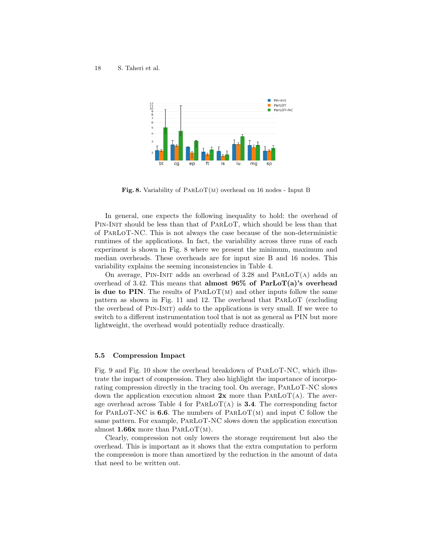

Fig. 8. Variability of ParLoT(m) overhead on 16 nodes - Input B

In general, one expects the following inequality to hold: the overhead of Pin-Init should be less than that of ParLoT, which should be less than that of ParLoT-NC. This is not always the case because of the non-deterministic runtimes of the applications. In fact, the variability across three runs of each experiment is shown in Fig. 8 where we present the minimum, maximum and median overheads. These overheads are for input size B and 16 nodes. This variability explains the seeming inconsistencies in Table 4.

On average, PIN-INIT adds an overhead of 3.28 and  $PARLOT(A)$  adds an overhead of 3.42. This means that **almost 96% of ParLoT(a)'s overhead** is due to PIN. The results of  $\text{PARLOT}(M)$  and other inputs follow the same pattern as shown in Fig. 11 and 12. The overhead that ParLoT (excluding the overhead of PIN-INIT) adds to the applications is very small. If we were to switch to a different instrumentation tool that is not as general as PIN but more lightweight, the overhead would potentially reduce drastically.

### 5.5 Compression Impact

Fig. 9 and Fig. 10 show the overhead breakdown of ParLoT-NC, which illustrate the impact of compression. They also highlight the importance of incorporating compression directly in the tracing tool. On average, ParLoT-NC slows down the application execution almost  $2x$  more than  $\text{PARLOT}(A)$ . The average overhead across Table 4 for  $\text{PARLOT}(A)$  is **3.4**. The corresponding factor for PARLOT-NC is  $6.6$ . The numbers of PARLOT(M) and input C follow the same pattern. For example, ParLoT-NC slows down the application execution almost  $1.66x$  more than  $\text{PARLOT}(M)$ .

Clearly, compression not only lowers the storage requirement but also the overhead. This is important as it shows that the extra computation to perform the compression is more than amortized by the reduction in the amount of data that need to be written out.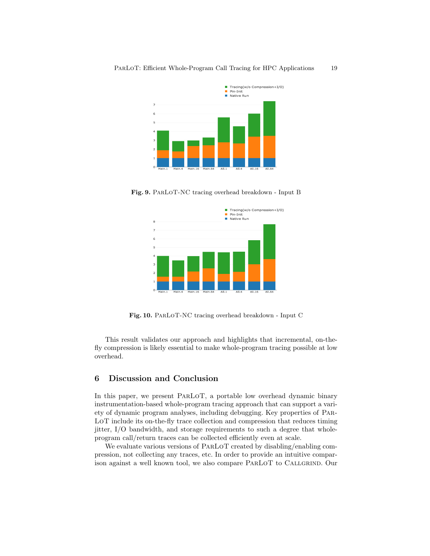

Fig. 9. ParLoT-NC tracing overhead breakdown - Input B



Fig. 10. ParLoT-NC tracing overhead breakdown - Input C

This result validates our approach and highlights that incremental, on-thefly compression is likely essential to make whole-program tracing possible at low overhead.

# 6 Discussion and Conclusion

In this paper, we present ParLoT, a portable low overhead dynamic binary instrumentation-based whole-program tracing approach that can support a variety of dynamic program analyses, including debugging. Key properties of Par-LoT include its on-the-fly trace collection and compression that reduces timing jitter, I/O bandwidth, and storage requirements to such a degree that wholeprogram call/return traces can be collected efficiently even at scale.

We evaluate various versions of PARLOT created by disabling/enabling compression, not collecting any traces, etc. In order to provide an intuitive comparison against a well known tool, we also compare ParLoT to Callgrind. Our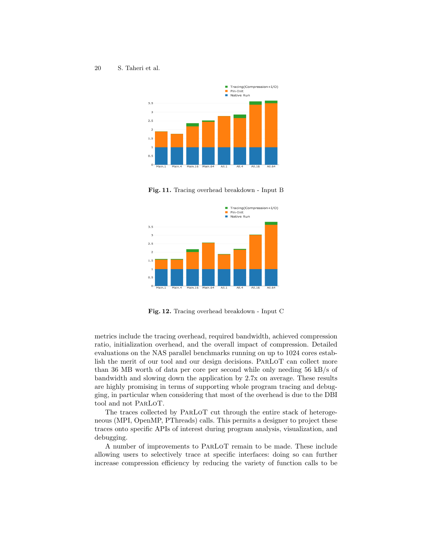

Fig. 11. Tracing overhead breakdown - Input B



Fig. 12. Tracing overhead breakdown - Input C

metrics include the tracing overhead, required bandwidth, achieved compression ratio, initialization overhead, and the overall impact of compression. Detailed evaluations on the NAS parallel benchmarks running on up to 1024 cores establish the merit of our tool and our design decisions. ParLoT can collect more than 36 MB worth of data per core per second while only needing 56 kB/s of bandwidth and slowing down the application by 2.7x on average. These results are highly promising in terms of supporting whole program tracing and debugging, in particular when considering that most of the overhead is due to the DBI tool and not ParLoT.

The traces collected by ParLoT cut through the entire stack of heterogeneous (MPI, OpenMP, PThreads) calls. This permits a designer to project these traces onto specific APIs of interest during program analysis, visualization, and debugging.

A number of improvements to ParLoT remain to be made. These include allowing users to selectively trace at specific interfaces: doing so can further increase compression efficiency by reducing the variety of function calls to be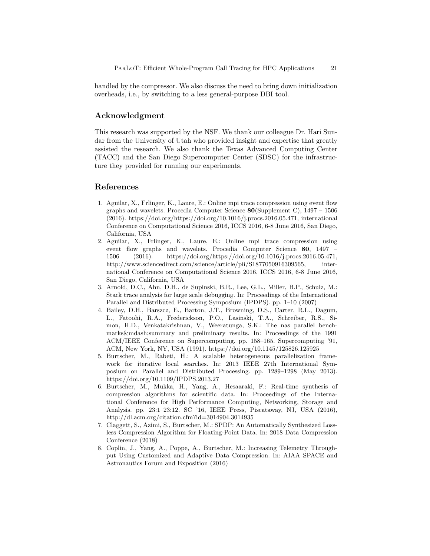handled by the compressor. We also discuss the need to bring down initialization overheads, i.e., by switching to a less general-purpose DBI tool.

# Acknowledgment

This research was supported by the NSF. We thank our colleague Dr. Hari Sundar from the University of Utah who provided insight and expertise that greatly assisted the research. We also thank the Texas Advanced Computing Center (TACC) and the San Diego Supercomputer Center (SDSC) for the infrastructure they provided for running our experiments.

# References

- 1. Aguilar, X., Frlinger, K., Laure, E.: Online mpi trace compression using event flow graphs and wavelets. Procedia Computer Science  $80(Supplement C)$ , 1497 – 1506 (2016). https://doi.org/https://doi.org/10.1016/j.procs.2016.05.471, international Conference on Computational Science 2016, ICCS 2016, 6-8 June 2016, San Diego, California, USA
- 2. Aguilar, X., Frlinger, K., Laure, E.: Online mpi trace compression using event flow graphs and wavelets. Procedia Computer Science 80, 1497 – 1506 (2016). https://doi.org/https://doi.org/10.1016/j.procs.2016.05.471, http://www.sciencedirect.com/science/article/pii/S1877050916309565, international Conference on Computational Science 2016, ICCS 2016, 6-8 June 2016, San Diego, California, USA
- 3. Arnold, D.C., Ahn, D.H., de Supinski, B.R., Lee, G.L., Miller, B.P., Schulz, M.: Stack trace analysis for large scale debugging. In: Proceedings of the International Parallel and Distributed Processing Symposium (IPDPS). pp. 1–10 (2007)
- 4. Bailey, D.H., Barszcz, E., Barton, J.T., Browning, D.S., Carter, R.L., Dagum, L., Fatoohi, R.A., Frederickson, P.O., Lasinski, T.A., Schreiber, R.S., Simon, H.D., Venkatakrishnan, V., Weeratunga, S.K.: The nas parallel benchmarks—summary and preliminary results. In: Proceedings of the 1991 ACM/IEEE Conference on Supercomputing. pp. 158–165. Supercomputing '91, ACM, New York, NY, USA (1991). https://doi.org/10.1145/125826.125925
- 5. Burtscher, M., Rabeti, H.: A scalable heterogeneous parallelization framework for iterative local searches. In: 2013 IEEE 27th International Symposium on Parallel and Distributed Processing. pp. 1289–1298 (May 2013). https://doi.org/10.1109/IPDPS.2013.27
- 6. Burtscher, M., Mukka, H., Yang, A., Hesaaraki, F.: Real-time synthesis of compression algorithms for scientific data. In: Proceedings of the International Conference for High Performance Computing, Networking, Storage and Analysis. pp. 23:1–23:12. SC '16, IEEE Press, Piscataway, NJ, USA (2016), http://dl.acm.org/citation.cfm?id=3014904.3014935
- 7. Claggett, S., Azimi, S., Burtscher, M.: SPDP: An Automatically Synthesized Lossless Compression Algorithm for Floating-Point Data. In: 2018 Data Compression Conference (2018)
- 8. Coplin, J., Yang, A., Poppe, A., Burtscher, M.: Increasing Telemetry Throughput Using Customized and Adaptive Data Compression. In: AIAA SPACE and Astronautics Forum and Exposition (2016)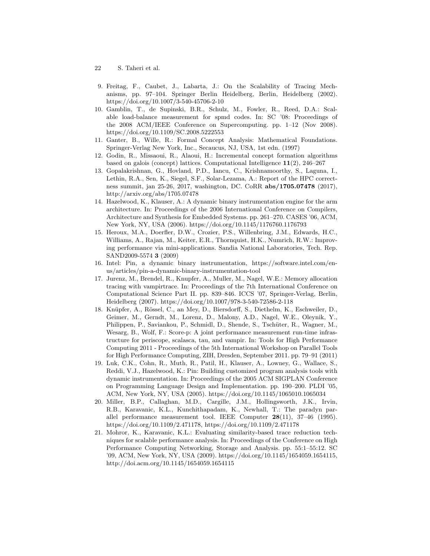- 22 S. Taheri et al.
- 9. Freitag, F., Caubet, J., Labarta, J.: On the Scalability of Tracing Mechanisms, pp. 97–104. Springer Berlin Heidelberg, Berlin, Heidelberg (2002). https://doi.org/10.1007/3-540-45706-2-10
- 10. Gamblin, T., de Supinski, B.R., Schulz, M., Fowler, R., Reed, D.A.: Scalable load-balance measurement for spmd codes. In: SC '08: Proceedings of the 2008 ACM/IEEE Conference on Supercomputing. pp. 1–12 (Nov 2008). https://doi.org/10.1109/SC.2008.5222553
- 11. Ganter, B., Wille, R.: Formal Concept Analysis: Mathematical Foundations. Springer-Verlag New York, Inc., Secaucus, NJ, USA, 1st edn. (1997)
- 12. Godin, R., Missaoui, R., Alaoui, H.: Incremental concept formation algorithms based on galois (concept) lattices. Computational Intelligence  $11(2)$ , 246–267
- 13. Gopalakrishnan, G., Hovland, P.D., Iancu, C., Krishnamoorthy, S., Laguna, I., Lethin, R.A., Sen, K., Siegel, S.F., Solar-Lezama, A.: Report of the HPC correctness summit, jan 25-26, 2017, washington, DC. CoRR abs/1705.07478 (2017), http://arxiv.org/abs/1705.07478
- 14. Hazelwood, K., Klauser, A.: A dynamic binary instrumentation engine for the arm architecture. In: Proceedings of the 2006 International Conference on Compilers, Architecture and Synthesis for Embedded Systems. pp. 261–270. CASES '06, ACM, New York, NY, USA (2006). https://doi.org/10.1145/1176760.1176793
- 15. Heroux, M.A., Doerfler, D.W., Crozier, P.S., Willenbring, J.M., Edwards, H.C., Williams, A., Rajan, M., Keiter, E.R., Thornquist, H.K., Numrich, R.W.: Improving performance via mini-applications. Sandia National Laboratories, Tech. Rep. SAND2009-5574 3 (2009)
- 16. Intel: Pin, a dynamic binary instrumentation, https://software.intel.com/enus/articles/pin-a-dynamic-binary-instrumentation-tool
- 17. Jurenz, M., Brendel, R., Knupfer, A., Muller, M., Nagel, W.E.: Memory allocation tracing with vampirtrace. In: Proceedings of the 7th International Conference on Computational Science Part II. pp. 839–846. ICCS '07, Springer-Verlag, Berlin, Heidelberg (2007). https://doi.org/10.1007/978-3-540-72586-2-118
- 18. Knüpfer, A., Rössel, C., an Mey, D., Biersdorff, S., Diethelm, K., Eschweiler, D., Geimer, M., Gerndt, M., Lorenz, D., Malony, A.D., Nagel, W.E., Oleynik, Y., Philippen, P., Saviankou, P., Schmidl, D., Shende, S., Tschüter, R., Wagner, M., Wesarg, B., Wolf, F.: Score-p: A joint performance measurement run-time infrastructure for periscope, scalasca, tau, and vampir. In: Tools for High Performance Computing 2011 - Proceedings of the 5th International Workshop on Parallel Tools for High Performance Computing, ZIH, Dresden, September 2011. pp. 79–91 (2011)
- 19. Luk, C.K., Cohn, R., Muth, R., Patil, H., Klauser, A., Lowney, G., Wallace, S., Reddi, V.J., Hazelwood, K.: Pin: Building customized program analysis tools with dynamic instrumentation. In: Proceedings of the 2005 ACM SIGPLAN Conference on Programming Language Design and Implementation. pp. 190–200. PLDI '05, ACM, New York, NY, USA (2005). https://doi.org/10.1145/1065010.1065034
- 20. Miller, B.P., Callaghan, M.D., Cargille, J.M., Hollingsworth, J.K., Irvin, R.B., Karavanic, K.L., Kunchithapadam, K., Newhall, T.: The paradyn parallel performance measurement tool. IEEE Computer 28(11), 37–46 (1995). https://doi.org/10.1109/2.471178, https://doi.org/10.1109/2.471178
- 21. Mohror, K., Karavanic, K.L.: Evaluating similarity-based trace reduction techniques for scalable performance analysis. In: Proceedings of the Conference on High Performance Computing Networking, Storage and Analysis. pp. 55:1–55:12. SC '09, ACM, New York, NY, USA (2009). https://doi.org/10.1145/1654059.1654115, http://doi.acm.org/10.1145/1654059.1654115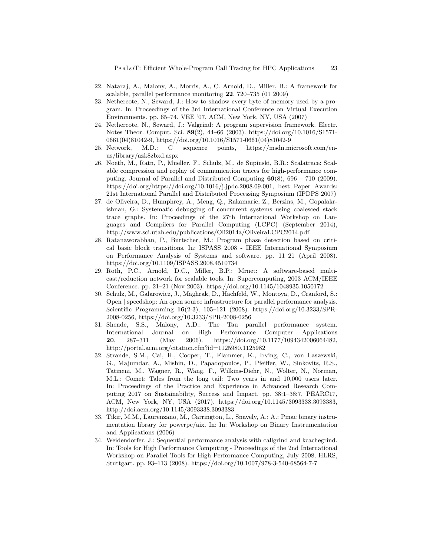- 22. Nataraj, A., Malony, A., Morris, A., C. Arnold, D., Miller, B.: A framework for scalable, parallel performance monitoring 22, 720–735 (01 2009)
- 23. Nethercote, N., Seward, J.: How to shadow every byte of memory used by a program. In: Proceedings of the 3rd International Conference on Virtual Execution Environments. pp. 65–74. VEE '07, ACM, New York, NY, USA (2007)
- 24. Nethercote, N., Seward, J.: Valgrind: A program supervision framework. Electr. Notes Theor. Comput. Sci. 89(2), 44–66 (2003). https://doi.org/10.1016/S1571- 0661(04)81042-9, https://doi.org/10.1016/S1571-0661(04)81042-9
- 25. Network, M.D.: C sequence points, https://msdn.microsoft.com/enus/library/azk8zbxd.aspx
- 26. Noeth, M., Ratn, P., Mueller, F., Schulz, M., de Supinski, B.R.: Scalatrace: Scalable compression and replay of communication traces for high-performance computing. Journal of Parallel and Distributed Computing 69(8), 696 – 710 (2009). https://doi.org/https://doi.org/10.1016/j.jpdc.2008.09.001, best Paper Awards: 21st International Parallel and Distributed Processing Symposium (IPDPS 2007)
- 27. de Oliveira, D., Humphrey, A., Meng, Q., Rakamaric, Z., Berzins, M., Gopalakrishnan, G.: Systematic debugging of concurrent systems using coalesced stack trace graphs. In: Proceedings of the 27th International Workshop on Languages and Compilers for Parallel Computing (LCPC) (September 2014), http://www.sci.utah.edu/publications/Oli2014a/OliveiraLCPC2014.pdf
- 28. Ratanaworabhan, P., Burtscher, M.: Program phase detection based on critical basic block transitions. In: ISPASS 2008 - IEEE International Symposium on Performance Analysis of Systems and software. pp. 11–21 (April 2008). https://doi.org/10.1109/ISPASS.2008.4510734
- 29. Roth, P.C., Arnold, D.C., Miller, B.P.: Mrnet: A software-based multicast/reduction network for scalable tools. In: Supercomputing, 2003 ACM/IEEE Conference. pp. 21–21 (Nov 2003). https://doi.org/10.1145/1048935.1050172
- 30. Schulz, M., Galarowicz, J., Maghrak, D., Hachfeld, W., Montoya, D., Cranford, S.: Open | speedshop: An open source infrastructure for parallel performance analysis. Scientific Programming 16(2-3), 105–121 (2008). https://doi.org/10.3233/SPR-2008-0256, https://doi.org/10.3233/SPR-2008-0256
- 31. Shende, S.S., Malony, A.D.: The Tau parallel performance system. International Journal on High Performance Computer Applications 20, 287–311 (May 2006). https://doi.org/10.1177/1094342006064482, http://portal.acm.org/citation.cfm?id=1125980.1125982
- 32. Strande, S.M., Cai, H., Cooper, T., Flammer, K., Irving, C., von Laszewski, G., Majumdar, A., Mishin, D., Papadopoulos, P., Pfeiffer, W., Sinkovits, R.S., Tatineni, M., Wagner, R., Wang, F., Wilkins-Diehr, N., Wolter, N., Norman, M.L.: Comet: Tales from the long tail: Two years in and 10,000 users later. In: Proceedings of the Practice and Experience in Advanced Research Computing 2017 on Sustainability, Success and Impact. pp. 38:1–38:7. PEARC17, ACM, New York, NY, USA (2017). https://doi.org/10.1145/3093338.3093383, http://doi.acm.org/10.1145/3093338.3093383
- 33. Tikir, M.M., Laurenzano, M., Carrington, L., Snavely, A.: A.: Pmac binary instrumentation library for powerpc/aix. In: In: Workshop on Binary Instrumentation and Applications (2006)
- 34. Weidendorfer, J.: Sequential performance analysis with callgrind and kcachegrind. In: Tools for High Performance Computing - Proceedings of the 2nd International Workshop on Parallel Tools for High Performance Computing, July 2008, HLRS, Stuttgart. pp. 93–113 (2008). https://doi.org/10.1007/978-3-540-68564-7-7